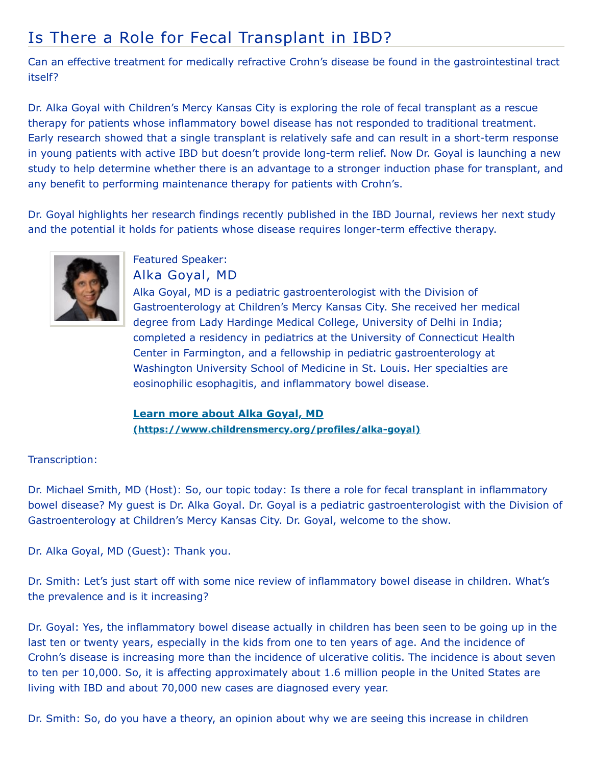## Is There a Role for Fecal Transplant in IBD?

Can an effective treatment for medically refractive Crohn's disease be found in the gastrointestinal tract itself?

Dr. Alka Goyal with Children's Mercy Kansas City is exploring the role of fecal transplant as a rescue therapy for patients whose inflammatory bowel disease has not responded to traditional treatment. Early research showed that a single transplant is relatively safe and can result in a short-term response in young patients with active IBD but doesn't provide long-term relief. Now Dr. Goyal is launching a new study to help determine whether there is an advantage to a stronger induction phase for transplant, and any benefit to performing maintenance therapy for patients with Crohn's.

Dr. Goyal highlights her research findings recently published in the IBD Journal, reviews her next study and the potential it holds for patients whose disease requires longer-term effective therapy.



Featured Speaker: Alka Goyal, MD

Alka Goyal, MD is a pediatric gastroenterologist with the Division of Gastroenterology at Children's Mercy Kansas City. She received her medical degree from Lady Hardinge Medical College, University of Delhi in India; completed a residency in pediatrics at the University of Connecticut Health Center in Farmington, and a fellowship in pediatric gastroenterology at Washington University School of Medicine in St. Louis. Her specialties are eosinophilic esophagitis, and inflammatory bowel disease.

**Learn more about Alka Goyal, MD [\(https://www.childrensmercy.org/profiles/alka-goyal\)](https://www.childrensmercy.org/profiles/alka-goyal)**

## Transcription:

Dr. Michael Smith, MD (Host): So, our topic today: Is there a role for fecal transplant in inflammatory bowel disease? My guest is Dr. Alka Goyal. Dr. Goyal is a pediatric gastroenterologist with the Division of Gastroenterology at Children's Mercy Kansas City. Dr. Goyal, welcome to the show.

Dr. Alka Goyal, MD (Guest): Thank you.

Dr. Smith: Let's just start off with some nice review of inflammatory bowel disease in children. What's the prevalence and is it increasing?

Dr. Goyal: Yes, the inflammatory bowel disease actually in children has been seen to be going up in the last ten or twenty years, especially in the kids from one to ten years of age. And the incidence of Crohn's disease is increasing more than the incidence of ulcerative colitis. The incidence is about seven to ten per 10,000. So, it is affecting approximately about 1.6 million people in the United States are living with IBD and about 70,000 new cases are diagnosed every year.

Dr. Smith: So, do you have a theory, an opinion about why we are seeing this increase in children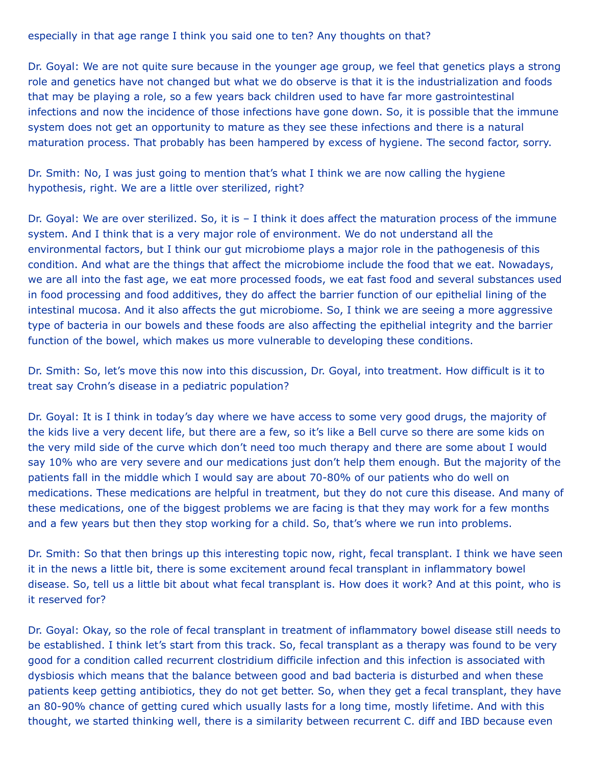especially in that age range I think you said one to ten? Any thoughts on that?

Dr. Goyal: We are not quite sure because in the younger age group, we feel that genetics plays a strong role and genetics have not changed but what we do observe is that it is the industrialization and foods that may be playing a role, so a few years back children used to have far more gastrointestinal infections and now the incidence of those infections have gone down. So, it is possible that the immune system does not get an opportunity to mature as they see these infections and there is a natural maturation process. That probably has been hampered by excess of hygiene. The second factor, sorry.

Dr. Smith: No, I was just going to mention that's what I think we are now calling the hygiene hypothesis, right. We are a little over sterilized, right?

Dr. Goyal: We are over sterilized. So, it is – I think it does affect the maturation process of the immune system. And I think that is a very major role of environment. We do not understand all the environmental factors, but I think our gut microbiome plays a major role in the pathogenesis of this condition. And what are the things that affect the microbiome include the food that we eat. Nowadays, we are all into the fast age, we eat more processed foods, we eat fast food and several substances used in food processing and food additives, they do affect the barrier function of our epithelial lining of the intestinal mucosa. And it also affects the gut microbiome. So, I think we are seeing a more aggressive type of bacteria in our bowels and these foods are also affecting the epithelial integrity and the barrier function of the bowel, which makes us more vulnerable to developing these conditions.

Dr. Smith: So, let's move this now into this discussion, Dr. Goyal, into treatment. How difficult is it to treat say Crohn's disease in a pediatric population?

Dr. Goyal: It is I think in today's day where we have access to some very good drugs, the majority of the kids live a very decent life, but there are a few, so it's like a Bell curve so there are some kids on the very mild side of the curve which don't need too much therapy and there are some about I would say 10% who are very severe and our medications just don't help them enough. But the majority of the patients fall in the middle which I would say are about 70-80% of our patients who do well on medications. These medications are helpful in treatment, but they do not cure this disease. And many of these medications, one of the biggest problems we are facing is that they may work for a few months and a few years but then they stop working for a child. So, that's where we run into problems.

Dr. Smith: So that then brings up this interesting topic now, right, fecal transplant. I think we have seen it in the news a little bit, there is some excitement around fecal transplant in inflammatory bowel disease. So, tell us a little bit about what fecal transplant is. How does it work? And at this point, who is it reserved for?

Dr. Goyal: Okay, so the role of fecal transplant in treatment of inflammatory bowel disease still needs to be established. I think let's start from this track. So, fecal transplant as a therapy was found to be very good for a condition called recurrent clostridium difficile infection and this infection is associated with dysbiosis which means that the balance between good and bad bacteria is disturbed and when these patients keep getting antibiotics, they do not get better. So, when they get a fecal transplant, they have an 80-90% chance of getting cured which usually lasts for a long time, mostly lifetime. And with this thought, we started thinking well, there is a similarity between recurrent C. diff and IBD because even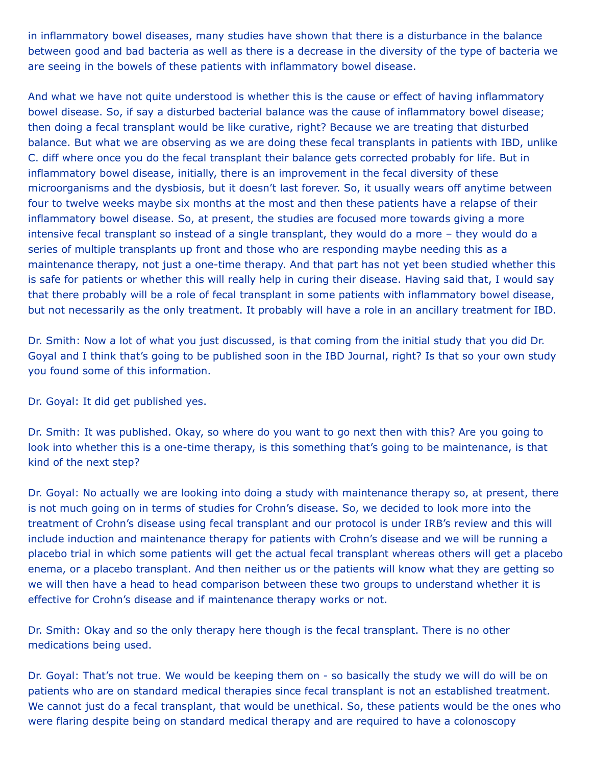in inflammatory bowel diseases, many studies have shown that there is a disturbance in the balance between good and bad bacteria as well as there is a decrease in the diversity of the type of bacteria we are seeing in the bowels of these patients with inflammatory bowel disease.

And what we have not quite understood is whether this is the cause or effect of having inflammatory bowel disease. So, if say a disturbed bacterial balance was the cause of inflammatory bowel disease; then doing a fecal transplant would be like curative, right? Because we are treating that disturbed balance. But what we are observing as we are doing these fecal transplants in patients with IBD, unlike C. diff where once you do the fecal transplant their balance gets corrected probably for life. But in inflammatory bowel disease, initially, there is an improvement in the fecal diversity of these microorganisms and the dysbiosis, but it doesn't last forever. So, it usually wears off anytime between four to twelve weeks maybe six months at the most and then these patients have a relapse of their inflammatory bowel disease. So, at present, the studies are focused more towards giving a more intensive fecal transplant so instead of a single transplant, they would do a more – they would do a series of multiple transplants up front and those who are responding maybe needing this as a maintenance therapy, not just a one-time therapy. And that part has not yet been studied whether this is safe for patients or whether this will really help in curing their disease. Having said that, I would say that there probably will be a role of fecal transplant in some patients with inflammatory bowel disease, but not necessarily as the only treatment. It probably will have a role in an ancillary treatment for IBD.

Dr. Smith: Now a lot of what you just discussed, is that coming from the initial study that you did Dr. Goyal and I think that's going to be published soon in the IBD Journal, right? Is that so your own study you found some of this information.

Dr. Goyal: It did get published yes.

Dr. Smith: It was published. Okay, so where do you want to go next then with this? Are you going to look into whether this is a one-time therapy, is this something that's going to be maintenance, is that kind of the next step?

Dr. Goyal: No actually we are looking into doing a study with maintenance therapy so, at present, there is not much going on in terms of studies for Crohn's disease. So, we decided to look more into the treatment of Crohn's disease using fecal transplant and our protocol is under IRB's review and this will include induction and maintenance therapy for patients with Crohn's disease and we will be running a placebo trial in which some patients will get the actual fecal transplant whereas others will get a placebo enema, or a placebo transplant. And then neither us or the patients will know what they are getting so we will then have a head to head comparison between these two groups to understand whether it is effective for Crohn's disease and if maintenance therapy works or not.

Dr. Smith: Okay and so the only therapy here though is the fecal transplant. There is no other medications being used.

Dr. Goyal: That's not true. We would be keeping them on - so basically the study we will do will be on patients who are on standard medical therapies since fecal transplant is not an established treatment. We cannot just do a fecal transplant, that would be unethical. So, these patients would be the ones who were flaring despite being on standard medical therapy and are required to have a colonoscopy